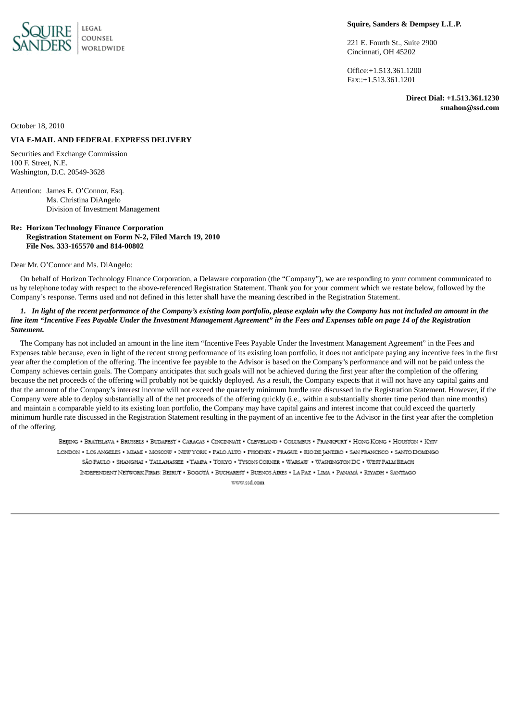

### **Squire, Sanders & Dempsey L.L.P.**

221 E. Fourth St., Suite 2900 Cincinnati, OH 45202

Office:+1.513.361.1200 Fax::+1.513.361.1201

> **Direct Dial: +1.513.361.1230 smahon@ssd.com**

October 18, 2010

# **VIA E-MAIL AND FEDERAL EXPRESS DELIVERY**

Securities and Exchange Commission 100 F. Street, N.E. Washington, D.C. 20549-3628

Attention: James E. O'Connor, Esq. Ms. Christina DiAngelo Division of Investment Management

# **Re: Horizon Technology Finance Corporation Registration Statement on Form N-2, Filed March 19, 2010 File Nos. 333-165570 and 814-00802**

#### Dear Mr. O'Connor and Ms. DiAngelo:

On behalf of Horizon Technology Finance Corporation, a Delaware corporation (the "Company"), we are responding to your comment communicated to us by telephone today with respect to the above-referenced Registration Statement. Thank you for your comment which we restate below, followed by the Company's response. Terms used and not defined in this letter shall have the meaning described in the Registration Statement.

#### 1. In light of the recent performance of the Company's existing loan portfolio, please explain why the Company has not included an amount in the line item "Incentive Fees Payable Under the Investment Management Agreement" in the Fees and Expenses table on page 14 of the Registration *Statement.*

The Company has not included an amount in the line item "Incentive Fees Payable Under the Investment Management Agreement" in the Fees and Expenses table because, even in light of the recent strong performance of its existing loan portfolio, it does not anticipate paying any incentive fees in the first year after the completion of the offering. The incentive fee payable to the Advisor is based on the Company's performance and will not be paid unless the Company achieves certain goals. The Company anticipates that such goals will not be achieved during the first year after the completion of the offering because the net proceeds of the offering will probably not be quickly deployed. As a result, the Company expects that it will not have any capital gains and that the amount of the Company's interest income will not exceed the quarterly minimum hurdle rate discussed in the Registration Statement. However, if the Company were able to deploy substantially all of the net proceeds of the offering quickly (i.e., within a substantially shorter time period than nine months) and maintain a comparable yield to its existing loan portfolio, the Company may have capital gains and interest income that could exceed the quarterly minimum hurdle rate discussed in the Registration Statement resulting in the payment of an incentive fee to the Advisor in the first year after the completion of the offering.

BEIJING . BRATISLAVA . BRUSSELS . BUDAPEST . CARACAS . CINCINNATI . CLEVELAND . COLUMBUS . FRANKFURT . HONG KONG . HOUSTON . KYIV LONDON . LOS ANGELES . MIAMI . MOSCOW . NEW YORK . PALO ALTO . PHOENIX . PRAGUE . RIO DE JANEIRO . SAN PRANCISCO . SANTO DOMINGO SÃO PAULO · SHANGHAI · TALLAHASSEE · TAMPA · TOKYO · TYSONS CORNER · WARSAW · WASHINGTON DC · WEST PALM BEACH INDEPENDENT NETWORK FIRMS: BEIRUT . BOGOTÁ . BUCHAREST . BUENOS AIRES . LA PAZ . LIMA . PANAMÁ . RIYADH . SANTIAGO www.ssd.com